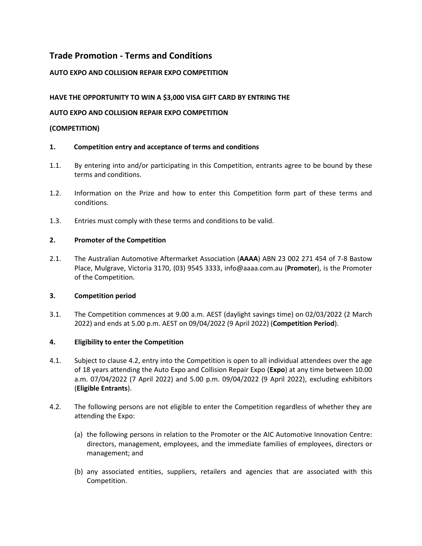# **Trade Promotion - Terms and Conditions**

# **AUTO EXPO AND COLLISION REPAIR EXPO COMPETITION**

# **HAVE THE OPPORTUNITY TO WIN A \$3,000 VISA GIFT CARD BY ENTRING THE**

# **AUTO EXPO AND COLLISION REPAIR EXPO COMPETITION**

# **(COMPETITION)**

# **1. Competition entry and acceptance of terms and conditions**

- 1.1. By entering into and/or participating in this Competition, entrants agree to be bound by these terms and conditions.
- 1.2. Information on the Prize and how to enter this Competition form part of these terms and conditions.
- 1.3. Entries must comply with these terms and conditions to be valid.

# **2. Promoter of the Competition**

2.1. The Australian Automotive Aftermarket Association (**AAAA**) ABN 23 002 271 454 of 7-8 Bastow Place, Mulgrave, Victoria 3170, (03) 9545 3333, [info@aaaa.com.au](mailto:info@aaaa.com.au) (**Promoter**), is the Promoter of the Competition.

# **3. Competition period**

3.1. The Competition commences at 9.00 a.m. AEST (daylight savings time) on 02/03/2022 (2 March 2022) and ends at 5.00 p.m. AEST on 09/04/2022 (9 April 2022) (**Competition Period**).

# **4. Eligibility to enter the Competition**

- 4.1. Subject to clause [4.2,](#page-0-0) entry into the Competition is open to all individual attendees over the age of 18 years attending the Auto Expo and Collision Repair Expo (**Expo**) at any time between 10.00 a.m. 07/04/2022 (7 April 2022) and 5.00 p.m. 09/04/2022 (9 April 2022), excluding exhibitors (**Eligible Entrants**).
- <span id="page-0-0"></span>4.2. The following persons are not eligible to enter the Competition regardless of whether they are attending the Expo:
	- (a) the following persons in relation to the Promoter or the AIC Automotive Innovation Centre: directors, management, employees, and the immediate families of employees, directors or management; and
	- (b) any associated entities, suppliers, retailers and agencies that are associated with this Competition.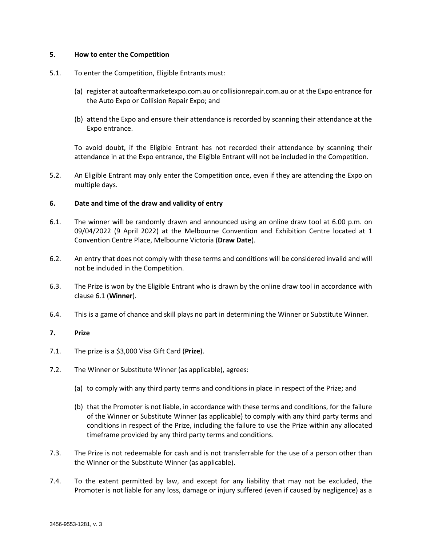### **5. How to enter the Competition**

### 5.1. To enter the Competition, Eligible Entrants must:

- (a) register at autoaftermarketexpo.com.au or collisionrepair.com.au or at the Expo entrance for the Auto Expo or Collision Repair Expo; and
- (b) attend the Expo and ensure their attendance is recorded by scanning their attendance at the Expo entrance.

<span id="page-1-0"></span>To avoid doubt, if the Eligible Entrant has not recorded their attendance by scanning their attendance in at the Expo entrance, the Eligible Entrant will not be included in the Competition.

5.2. An Eligible Entrant may only enter the Competition once, even if they are attending the Expo on multiple days.

### **6. Date and time of the draw and validity of entry**

- 6.1. The winner will be randomly drawn and announced using an online draw tool at 6.00 p.m. on 09/04/2022 (9 April 2022) at the Melbourne Convention and Exhibition Centre located at 1 Convention Centre Place, Melbourne Victoria (**Draw Date**).
- 6.2. An entry that does not comply with these terms and conditions will be considered invalid and will not be included in the Competition.
- 6.3. The Prize is won by the Eligible Entrant who is drawn by the online draw tool in accordance with claus[e 6.1](#page-1-0) (**Winner**).
- 6.4. This is a game of chance and skill plays no part in determining the Winner or Substitute Winner.

#### **7. Prize**

- 7.1. The prize is a \$3,000 Visa Gift Card (**Prize**).
- 7.2. The Winner or Substitute Winner (as applicable), agrees:
	- (a) to comply with any third party terms and conditions in place in respect of the Prize; and
	- (b) that the Promoter is not liable, in accordance with these terms and conditions, for the failure of the Winner or Substitute Winner (as applicable) to comply with any third party terms and conditions in respect of the Prize, including the failure to use the Prize within any allocated timeframe provided by any third party terms and conditions.
- 7.3. The Prize is not redeemable for cash and is not transferrable for the use of a person other than the Winner or the Substitute Winner (as applicable).
- 7.4. To the extent permitted by law, and except for any liability that may not be excluded, the Promoter is not liable for any loss, damage or injury suffered (even if caused by negligence) as a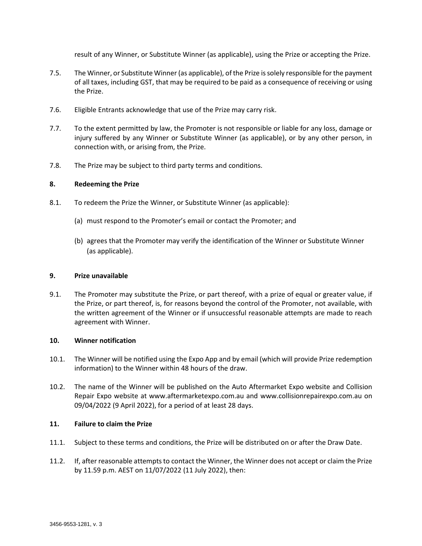result of any Winner, or Substitute Winner (as applicable), using the Prize or accepting the Prize.

- 7.5. The Winner, or Substitute Winner (as applicable), of the Prize is solely responsible for the payment of all taxes, including GST, that may be required to be paid as a consequence of receiving or using the Prize.
- 7.6. Eligible Entrants acknowledge that use of the Prize may carry risk.
- 7.7. To the extent permitted by law, the Promoter is not responsible or liable for any loss, damage or injury suffered by any Winner or Substitute Winner (as applicable), or by any other person, in connection with, or arising from, the Prize.
- 7.8. The Prize may be subject to third party terms and conditions.

### **8. Redeeming the Prize**

- 8.1. To redeem the Prize the Winner, or Substitute Winner (as applicable):
	- (a) must respond to the Promoter's email or contact the Promoter; and
	- (b) agrees that the Promoter may verify the identification of the Winner or Substitute Winner (as applicable).

#### **9. Prize unavailable**

9.1. The Promoter may substitute the Prize, or part thereof, with a prize of equal or greater value, if the Prize, or part thereof, is, for reasons beyond the control of the Promoter, not available, with the written agreement of the Winner or if unsuccessful reasonable attempts are made to reach agreement with Winner.

#### **10. Winner notification**

- 10.1. The Winner will be notified using the Expo App and by email (which will provide Prize redemption information) to the Winner within 48 hours of the draw.
- 10.2. The name of the Winner will be published on the Auto Aftermarket Expo website and Collision Repair Expo website at www.aftermarketexpo.com.au and www.collisionrepairexpo.com.au on 09/04/2022 (9 April 2022), for a period of at least 28 days.

#### **11. Failure to claim the Prize**

- 11.1. Subject to these terms and conditions, the Prize will be distributed on or after the Draw Date.
- <span id="page-2-0"></span>11.2. If, after reasonable attempts to contact the Winner, the Winner does not accept or claim the Prize by 11.59 p.m. AEST on 11/07/2022 (11 July 2022), then: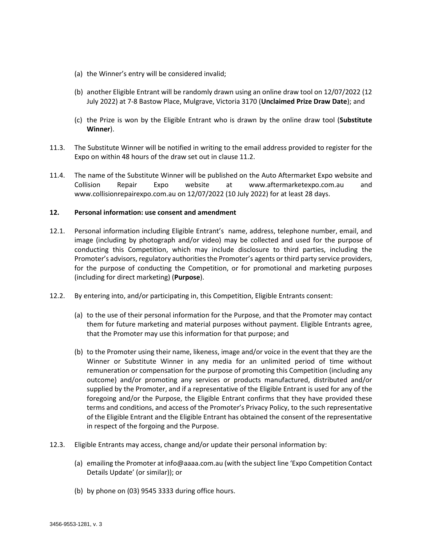- (a) the Winner's entry will be considered invalid;
- (b) another Eligible Entrant will be randomly drawn using an online draw tool on 12/07/2022 (12 July 2022) at 7-8 Bastow Place, Mulgrave, Victoria 3170 (**Unclaimed Prize Draw Date**); and
- (c) the Prize is won by the Eligible Entrant who is drawn by the online draw tool (**Substitute Winner**).
- 11.3. The Substitute Winner will be notified in writing to the email address provided to register for the Expo on within 48 hours of the draw set out in clause [11.2.](#page-2-0)
- 11.4. The name of the Substitute Winner will be published on the Auto Aftermarket Expo website and Collision Repair Expo website at www.aftermarketexpo.com.au and www.collisionrepairexpo.com.au on 12/07/2022 (10 July 2022) for at least 28 days.

### **12. Personal information: use consent and amendment**

- 12.1. Personal information including Eligible Entrant's name, address, telephone number, email, and image (including by photograph and/or video) may be collected and used for the purpose of conducting this Competition, which may include disclosure to third parties, including the Promoter's advisors, regulatory authorities the Promoter's agents or third party service providers, for the purpose of conducting the Competition, or for promotional and marketing purposes (including for direct marketing) (**Purpose**).
- 12.2. By entering into, and/or participating in, this Competition, Eligible Entrants consent:
	- (a) to the use of their personal information for the Purpose, and that the Promoter may contact them for future marketing and material purposes without payment. Eligible Entrants agree, that the Promoter may use this information for that purpose; and
	- (b) to the Promoter using their name, likeness, image and/or voice in the event that they are the Winner or Substitute Winner in any media for an unlimited period of time without remuneration or compensation for the purpose of promoting this Competition (including any outcome) and/or promoting any services or products manufactured, distributed and/or supplied by the Promoter, and if a representative of the Eligible Entrant is used for any of the foregoing and/or the Purpose, the Eligible Entrant confirms that they have provided these terms and conditions, and access of the Promoter's Privacy Policy, to the such representative of the Eligible Entrant and the Eligible Entrant has obtained the consent of the representative in respect of the forgoing and the Purpose.
- 12.3. Eligible Entrants may access, change and/or update their personal information by:
	- (a) emailing the Promoter at [info@aaaa.com.au](mailto:info@aaaa.com.au) (with the subject line 'Expo Competition Contact Details Update' (or similar)); or
	- (b) by phone on (03) 9545 3333 during office hours.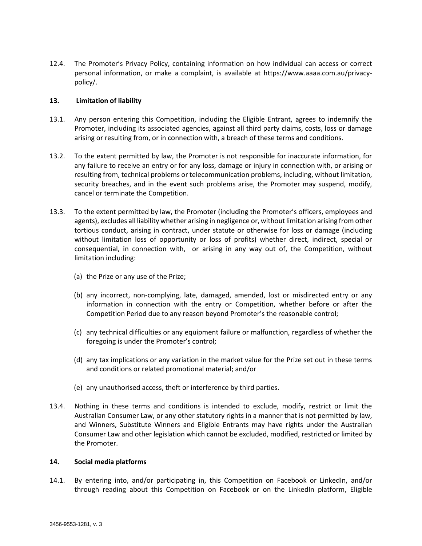12.4. The Promoter's Privacy Policy, containing information on how individual can access or correct personal information, or make a complaint, is available at https://www.aaaa.com.au/privacypolicy/.

### **13. Limitation of liability**

- 13.1. Any person entering this Competition, including the Eligible Entrant, agrees to indemnify the Promoter, including its associated agencies, against all third party claims, costs, loss or damage arising or resulting from, or in connection with, a breach of these terms and conditions.
- 13.2. To the extent permitted by law, the Promoter is not responsible for inaccurate information, for any failure to receive an entry or for any loss, damage or injury in connection with, or arising or resulting from, technical problems or telecommunication problems, including, without limitation, security breaches, and in the event such problems arise, the Promoter may suspend, modify, cancel or terminate the Competition.
- 13.3. To the extent permitted by law, the Promoter (including the Promoter's officers, employees and agents), excludes all liability whether arising in negligence or, without limitation arising from other tortious conduct, arising in contract, under statute or otherwise for loss or damage (including without limitation loss of opportunity or loss of profits) whether direct, indirect, special or consequential, in connection with, or arising in any way out of, the Competition, without limitation including:
	- (a) the Prize or any use of the Prize;
	- (b) any incorrect, non-complying, late, damaged, amended, lost or misdirected entry or any information in connection with the entry or Competition, whether before or after the Competition Period due to any reason beyond Promoter's the reasonable control;
	- (c) any technical difficulties or any equipment failure or malfunction, regardless of whether the foregoing is under the Promoter's control;
	- (d) any tax implications or any variation in the market value for the Prize set out in these terms and conditions or related promotional material; and/or
	- (e) any unauthorised access, theft or interference by third parties.
- 13.4. Nothing in these terms and conditions is intended to exclude, modify, restrict or limit the Australian Consumer Law, or any other statutory rights in a manner that is not permitted by law, and Winners, Substitute Winners and Eligible Entrants may have rights under the Australian Consumer Law and other legislation which cannot be excluded, modified, restricted or limited by the Promoter.

#### **14. Social media platforms**

14.1. By entering into, and/or participating in, this Competition on Facebook or LinkedIn, and/or through reading about this Competition on Facebook or on the LinkedIn platform, Eligible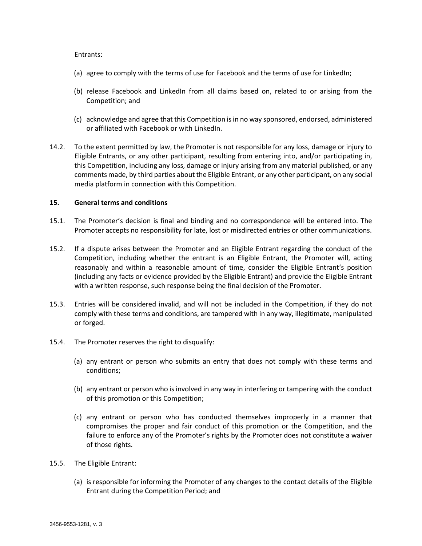#### Entrants:

- (a) agree to comply with the terms of use for Facebook and the terms of use for LinkedIn;
- (b) release Facebook and LinkedIn from all claims based on, related to or arising from the Competition; and
- (c) acknowledge and agree that this Competition is in no way sponsored, endorsed, administered or affiliated with Facebook or with LinkedIn.
- 14.2. To the extent permitted by law, the Promoter is not responsible for any loss, damage or injury to Eligible Entrants, or any other participant, resulting from entering into, and/or participating in, this Competition, including any loss, damage or injury arising from any material published, or any comments made, by third parties about the Eligible Entrant, or any other participant, on any social media platform in connection with this Competition.

### **15. General terms and conditions**

- 15.1. The Promoter's decision is final and binding and no correspondence will be entered into. The Promoter accepts no responsibility for late, lost or misdirected entries or other communications.
- 15.2. If a dispute arises between the Promoter and an Eligible Entrant regarding the conduct of the Competition, including whether the entrant is an Eligible Entrant, the Promoter will, acting reasonably and within a reasonable amount of time, consider the Eligible Entrant's position (including any facts or evidence provided by the Eligible Entrant) and provide the Eligible Entrant with a written response, such response being the final decision of the Promoter.
- 15.3. Entries will be considered invalid, and will not be included in the Competition, if they do not comply with these terms and conditions, are tampered with in any way, illegitimate, manipulated or forged.
- 15.4. The Promoter reserves the right to disqualify:
	- (a) any entrant or person who submits an entry that does not comply with these terms and conditions;
	- (b) any entrant or person who is involved in any way in interfering or tampering with the conduct of this promotion or this Competition;
	- (c) any entrant or person who has conducted themselves improperly in a manner that compromises the proper and fair conduct of this promotion or the Competition, and the failure to enforce any of the Promoter's rights by the Promoter does not constitute a waiver of those rights.
- 15.5. The Eligible Entrant:
	- (a) is responsible for informing the Promoter of any changes to the contact details of the Eligible Entrant during the Competition Period; and